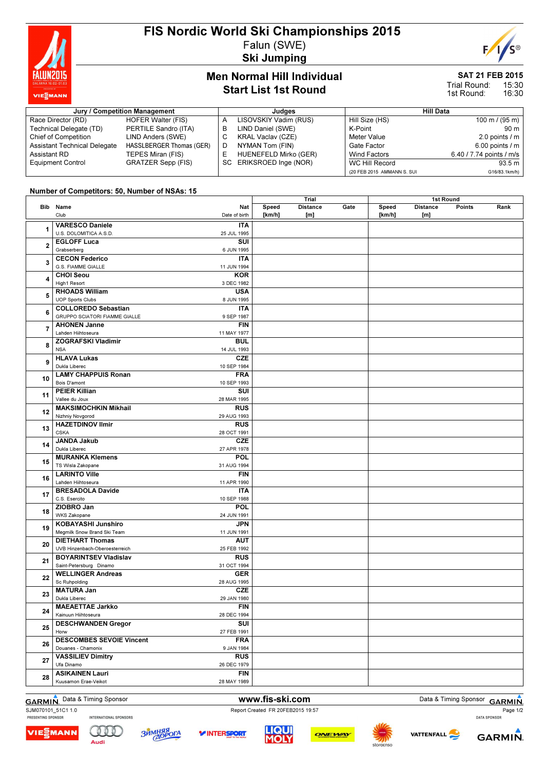

## FIS Nordic World Ski Championships 2015 Falun (SWE)

Ski Jumping

# E

## Men Normal Hill Individual Start List 1st Round

## SAT 21 FEB 2015

15:30 16:30 Trial Round: 1st Round:

| Jury / Competition Management       |                           |   | Judaes                   | <b>Hill Data</b>           |                          |  |
|-------------------------------------|---------------------------|---|--------------------------|----------------------------|--------------------------|--|
| Race Director (RD)                  | HOFER Walter (FIS)        |   | LISOVSKIY Vadim (RUS)    | Hill Size (HS)             | 100 m / (95 m)           |  |
| Technical Delegate (TD)             | PERTILE Sandro (ITA)      | в | LIND Daniel (SWE)        | K-Point                    | 90 m                     |  |
| <b>Chief of Competition</b>         | LIND Anders (SWE)         |   | <b>KRAL Vaclav (CZE)</b> | Meter Value                | 2.0 points $\sqrt{m}$    |  |
| <b>Assistant Technical Delegate</b> | HASSLBERGER Thomas (GER)  |   | NYMAN Tom (FIN)          | Gate Factor                | $6.00$ points $/m$       |  |
| Assistant RD                        | TEPES Miran (FIS)         |   | HUENEFELD Mirko (GER)    | <b>Wind Factors</b>        | 6.40 / 7.74 points / m/s |  |
| <b>Equipment Control</b>            | <b>GRATZER Sepp (FIS)</b> |   | SC ERIKSROED Inge (NOR)  | WC Hill Record             | 93.5 m                   |  |
|                                     |                           |   |                          | (20 FEB 2015 AMMANN S. SUI | G16/83.1km/h)            |  |

### Number of Competitors: 50, Number of NSAs: 15

|    |                                 |               | Trial  |                 | 1st Round |        |                 |               |      |
|----|---------------------------------|---------------|--------|-----------------|-----------|--------|-----------------|---------------|------|
|    | Bib Name                        | Nat           | Speed  | <b>Distance</b> | Gate      | Speed  | <b>Distance</b> | <b>Points</b> | Rank |
|    | Club                            | Date of birth | [km/h] | [m]             |           | [km/h] | [m]             |               |      |
|    | <b>VARESCO Daniele</b>          | <b>ITA</b>    |        |                 |           |        |                 |               |      |
| 1  | U.S. DOLOMITICA A.S.D.          | 25 JUL 1995   |        |                 |           |        |                 |               |      |
|    | <b>EGLOFF Luca</b>              | SUI           |        |                 |           |        |                 |               |      |
| 2  | Grabserberg                     | 6 JUN 1995    |        |                 |           |        |                 |               |      |
|    |                                 |               |        |                 |           |        |                 |               |      |
| 3  | <b>CECON Federico</b>           | <b>ITA</b>    |        |                 |           |        |                 |               |      |
|    | G.S. FIAMME GIALLE              | 11 JUN 1994   |        |                 |           |        |                 |               |      |
| 4  | <b>CHOI Seou</b>                | <b>KOR</b>    |        |                 |           |        |                 |               |      |
|    | High1 Resort                    | 3 DEC 1982    |        |                 |           |        |                 |               |      |
| 5  | <b>RHOADS William</b>           | <b>USA</b>    |        |                 |           |        |                 |               |      |
|    | <b>UOP Sports Clubs</b>         | 8 JUN 1995    |        |                 |           |        |                 |               |      |
| 6  | <b>COLLOREDO Sebastian</b>      | ITA           |        |                 |           |        |                 |               |      |
|    | GRUPPO SCIATORI FIAMME GIALLE   | 9 SEP 1987    |        |                 |           |        |                 |               |      |
|    | <b>AHONEN Janne</b>             | <b>FIN</b>    |        |                 |           |        |                 |               |      |
| 7  | Lahden Hiihtoseura              | 11 MAY 1977   |        |                 |           |        |                 |               |      |
|    | <b>ZOGRAFSKI Vladimir</b>       | <b>BUL</b>    |        |                 |           |        |                 |               |      |
| 8  | <b>NSA</b>                      | 14 JUL 1993   |        |                 |           |        |                 |               |      |
|    | <b>HLAVA Lukas</b>              | <b>CZE</b>    |        |                 |           |        |                 |               |      |
| 9  | Dukla Liberec                   | 10 SEP 1984   |        |                 |           |        |                 |               |      |
|    | <b>LAMY CHAPPUIS Ronan</b>      | <b>FRA</b>    |        |                 |           |        |                 |               |      |
| 10 | Bois D'amont                    | 10 SEP 1993   |        |                 |           |        |                 |               |      |
|    | <b>PEIER Killian</b>            | SUI           |        |                 |           |        |                 |               |      |
| 11 | Vallee du Joux                  | 28 MAR 1995   |        |                 |           |        |                 |               |      |
|    | <b>MAKSIMOCHKIN Mikhail</b>     | <b>RUS</b>    |        |                 |           |        |                 |               |      |
| 12 | Nizhniy Novgorod                | 29 AUG 1993   |        |                 |           |        |                 |               |      |
|    | <b>HAZETDINOV Ilmir</b>         | <b>RUS</b>    |        |                 |           |        |                 |               |      |
| 13 | <b>CSKA</b>                     | 28 OCT 1991   |        |                 |           |        |                 |               |      |
|    |                                 |               |        |                 |           |        |                 |               |      |
| 14 | <b>JANDA Jakub</b>              | <b>CZE</b>    |        |                 |           |        |                 |               |      |
|    | Dukla Liberec                   | 27 APR 1978   |        |                 |           |        |                 |               |      |
| 15 | <b>MURANKA Klemens</b>          | POL           |        |                 |           |        |                 |               |      |
|    | TS Wisla Zakopane               | 31 AUG 1994   |        |                 |           |        |                 |               |      |
| 16 | <b>LARINTO Ville</b>            | <b>FIN</b>    |        |                 |           |        |                 |               |      |
|    | Lahden Hiihtoseura              | 11 APR 1990   |        |                 |           |        |                 |               |      |
| 17 | <b>BRESADOLA Davide</b>         | ITA           |        |                 |           |        |                 |               |      |
|    | C.S. Esercito                   | 10 SEP 1988   |        |                 |           |        |                 |               |      |
| 18 | ZIOBRO Jan                      | POL           |        |                 |           |        |                 |               |      |
|    | WKS Zakopane                    | 24 JUN 1991   |        |                 |           |        |                 |               |      |
| 19 | KOBAYASHI Junshiro              | <b>JPN</b>    |        |                 |           |        |                 |               |      |
|    | Megmilk Snow Brand Ski Team     | 11 JUN 1991   |        |                 |           |        |                 |               |      |
|    | <b>DIETHART Thomas</b>          | AUT           |        |                 |           |        |                 |               |      |
| 20 | UVB Hinzenbach-Oberoesterreich  | 25 FEB 1992   |        |                 |           |        |                 |               |      |
|    | <b>BOYARINTSEV Vladislav</b>    | <b>RUS</b>    |        |                 |           |        |                 |               |      |
| 21 | Saint-Petersburg Dinamo         | 31 OCT 1994   |        |                 |           |        |                 |               |      |
|    | <b>WELLINGER Andreas</b>        | <b>GER</b>    |        |                 |           |        |                 |               |      |
| 22 | Sc Ruhpolding                   | 28 AUG 1995   |        |                 |           |        |                 |               |      |
|    | <b>MATURA Jan</b>               | <b>CZE</b>    |        |                 |           |        |                 |               |      |
| 23 | Dukla Liberec                   | 29 JAN 1980   |        |                 |           |        |                 |               |      |
|    | <b>MAEAETTAE Jarkko</b>         | <b>FIN</b>    |        |                 |           |        |                 |               |      |
| 24 |                                 |               |        |                 |           |        |                 |               |      |
| 25 | Kainuun Hiihtoseura             | 28 DEC 1994   |        |                 |           |        |                 |               |      |
|    | <b>DESCHWANDEN Gregor</b>       | SUI           |        |                 |           |        |                 |               |      |
|    | Horw                            | 27 FEB 1991   |        |                 |           |        |                 |               |      |
| 26 | <b>DESCOMBES SEVOIE Vincent</b> | <b>FRA</b>    |        |                 |           |        |                 |               |      |
|    | Douanes - Chamonix              | 9 JAN 1984    |        |                 |           |        |                 |               |      |
| 27 | <b>VASSILIEV Dimitry</b>        | <b>RUS</b>    |        |                 |           |        |                 |               |      |
|    | Ufa Dinamo                      | 26 DEC 1979   |        |                 |           |        |                 |               |      |
|    | <b>ASIKAINEN Lauri</b>          | <b>FIN</b>    |        |                 |           |        |                 |               |      |
| 28 | Kuusamon Erae-Veikot            | 28 MAY 1989   |        |                 |           |        |                 |               |      |

GARMIN. Data & Timing Sponsor **www.fis-ski.com** Data & Timing Sponsor GARMIN. Page 1/2

SJM070101\_51C1 1.0<br>
PRESENTING SPONSOR INTERNATIONAL SPONSORS<br>
Report Created FR 20FEB2015 19:57



Audi

**ЗЙМНЯЯ**<br>ДОРОГА

*V***INTERSPORT**